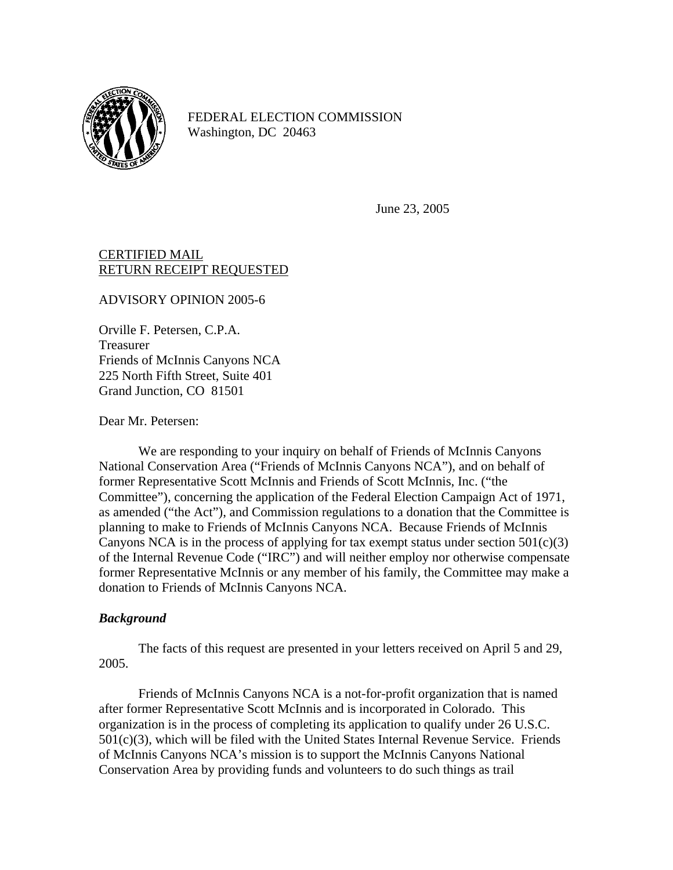

FEDERAL ELECTION COMMISSION Washington, DC 20463

June 23, 2005

## CERTIFIED MAIL RETURN RECEIPT REQUESTED

ADVISORY OPINION 2005-6

Orville F. Petersen, C.P.A. Treasurer Friends of McInnis Canyons NCA 225 North Fifth Street, Suite 401 Grand Junction, CO 81501

Dear Mr. Petersen:

We are responding to your inquiry on behalf of Friends of McInnis Canyons National Conservation Area ("Friends of McInnis Canyons NCA"), and on behalf of former Representative Scott McInnis and Friends of Scott McInnis, Inc. ("the Committee"), concerning the application of the Federal Election Campaign Act of 1971, as amended ("the Act"), and Commission regulations to a donation that the Committee is planning to make to Friends of McInnis Canyons NCA. Because Friends of McInnis Canyons NCA is in the process of applying for tax exempt status under section  $501(c)(3)$ of the Internal Revenue Code ("IRC") and will neither employ nor otherwise compensate former Representative McInnis or any member of his family, the Committee may make a donation to Friends of McInnis Canyons NCA.

## *Background*

The facts of this request are presented in your letters received on April 5 and 29, 2005.

Friends of McInnis Canyons NCA is a not-for-profit organization that is named after former Representative Scott McInnis and is incorporated in Colorado. This organization is in the process of completing its application to qualify under 26 U.S.C.  $501(c)(3)$ , which will be filed with the United States Internal Revenue Service. Friends of McInnis Canyons NCA's mission is to support the McInnis Canyons National Conservation Area by providing funds and volunteers to do such things as trail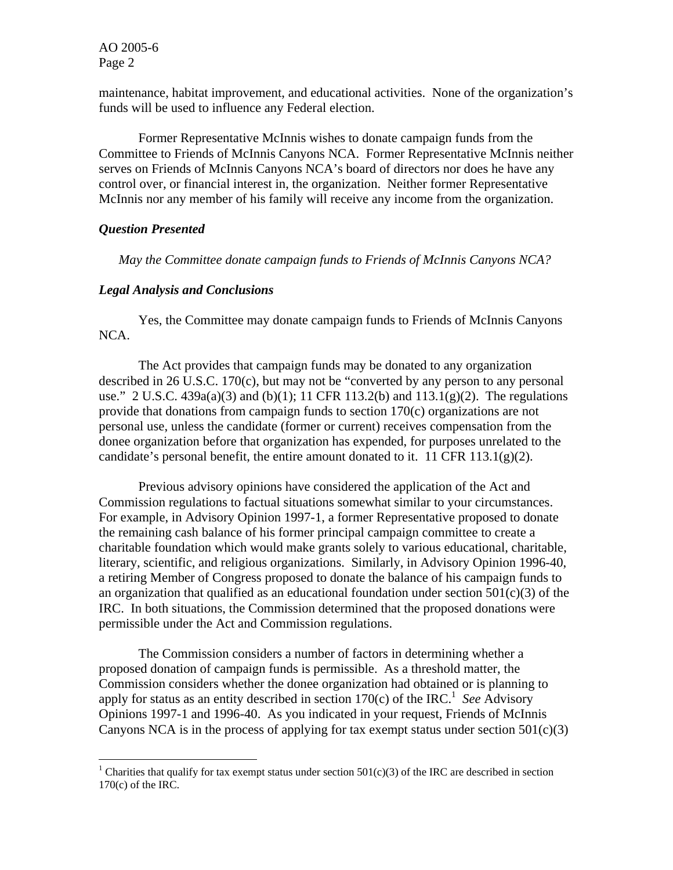AO 2005-6 Page 2

maintenance, habitat improvement, and educational activities. None of the organization's funds will be used to influence any Federal election.

Former Representative McInnis wishes to donate campaign funds from the Committee to Friends of McInnis Canyons NCA. Former Representative McInnis neither serves on Friends of McInnis Canyons NCA's board of directors nor does he have any control over, or financial interest in, the organization. Neither former Representative McInnis nor any member of his family will receive any income from the organization.

## *Question Presented*

 $\overline{a}$ 

*May the Committee donate campaign funds to Friends of McInnis Canyons NCA?* 

## *Legal Analysis and Conclusions*

Yes, the Committee may donate campaign funds to Friends of McInnis Canyons NCA.

The Act provides that campaign funds may be donated to any organization described in 26 U.S.C. 170(c), but may not be "converted by any person to any personal use." 2 U.S.C.  $439a(a)(3)$  and  $(b)(1)$ ; 11 CFR 113.2(b) and  $113.1(g)(2)$ . The regulations provide that donations from campaign funds to section 170(c) organizations are not personal use, unless the candidate (former or current) receives compensation from the donee organization before that organization has expended, for purposes unrelated to the candidate's personal benefit, the entire amount donated to it. 11 CFR  $113.1(g)(2)$ .

Previous advisory opinions have considered the application of the Act and Commission regulations to factual situations somewhat similar to your circumstances. For example, in Advisory Opinion 1997-1, a former Representative proposed to donate the remaining cash balance of his former principal campaign committee to create a charitable foundation which would make grants solely to various educational, charitable, literary, scientific, and religious organizations. Similarly, in Advisory Opinion 1996-40, a retiring Member of Congress proposed to donate the balance of his campaign funds to an organization that qualified as an educational foundation under section  $501(c)(3)$  of the IRC. In both situations, the Commission determined that the proposed donations were permissible under the Act and Commission regulations.

The Commission considers a number of factors in determining whether a proposed donation of campaign funds is permissible. As a threshold matter, the Commission considers whether the donee organization had obtained or is planning to apply for status as an entity described in section  $170(c)$  $170(c)$  of the IRC.<sup>1</sup> See Advisory Opinions 1997-1 and 1996-40. As you indicated in your request, Friends of McInnis Canyons NCA is in the process of applying for tax exempt status under section  $501(c)(3)$ 

<span id="page-1-0"></span><sup>&</sup>lt;sup>1</sup> Charities that qualify for tax exempt status under section  $501(c)(3)$  of the IRC are described in section 170(c) of the IRC.